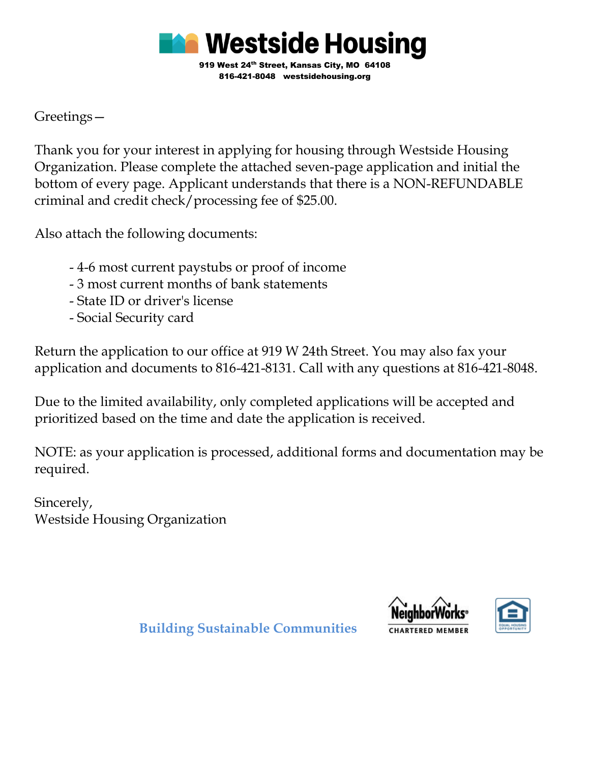

Greetings—

Thank you for your interest in applying for housing through Westside Housing Organization. Please complete the attached seven-page application and initial the bottom of every page. Applicant understands that there is a NON-REFUNDABLE criminal and credit check/processing fee of \$25.00.

Also attach the following documents:

- 4-6 most current paystubs or proof of income
- 3 most current months of bank statements
- State ID or driver's license
- Social Security card

Return the application to our office at 919 W 24th Street. You may also fax your application and documents to 816-421-8131. Call with any questions at 816-421-8048.

Due to the limited availability, only completed applications will be accepted and prioritized based on the time and date the application is received.

NOTE: as your application is processed, additional forms and documentation may be required.

Sincerely, Westside Housing Organization





 **Building Sustainable Communities**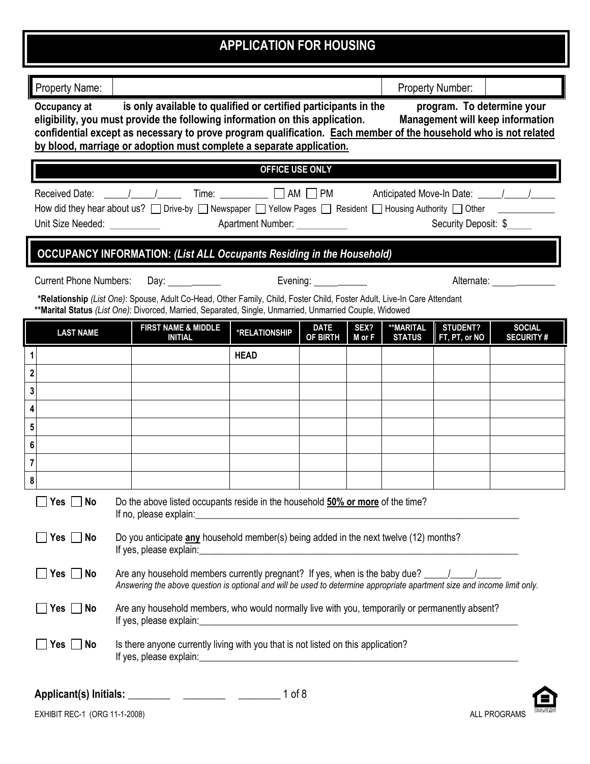## **APPLICATION FOR HOUSING**

| Property Name:                                                                                                                                                                                                                                                                                                                                                                                                                       |                                                                                                                                                                                                                                            |                                                                                                                                                                                                                                     |             |        |               | <b>Property Number:</b> |                     |
|--------------------------------------------------------------------------------------------------------------------------------------------------------------------------------------------------------------------------------------------------------------------------------------------------------------------------------------------------------------------------------------------------------------------------------------|--------------------------------------------------------------------------------------------------------------------------------------------------------------------------------------------------------------------------------------------|-------------------------------------------------------------------------------------------------------------------------------------------------------------------------------------------------------------------------------------|-------------|--------|---------------|-------------------------|---------------------|
| is only available to qualified or certified participants in the<br>program. To determine your<br>Occupancy at<br><b>Management will keep information</b><br>eligibility, you must provide the following information on this application.<br>confidential except as necessary to prove program qualification. Each member of the household who is not related<br>by blood, marriage or adoption must complete a separate application. |                                                                                                                                                                                                                                            |                                                                                                                                                                                                                                     |             |        |               |                         |                     |
|                                                                                                                                                                                                                                                                                                                                                                                                                                      |                                                                                                                                                                                                                                            | <b>OFFICE USE ONLY</b>                                                                                                                                                                                                              |             |        |               |                         |                     |
| How did they hear about us? $\Box$ Drive-by $\Box$ Newspaper $\Box$ Yellow Pages $\Box$ Resident $\Box$ Housing Authority $\Box$ Other _______<br>Security Deposit: \$                                                                                                                                                                                                                                                               |                                                                                                                                                                                                                                            |                                                                                                                                                                                                                                     |             |        |               |                         |                     |
|                                                                                                                                                                                                                                                                                                                                                                                                                                      |                                                                                                                                                                                                                                            | <b>OCCUPANCY INFORMATION: (List ALL Occupants Residing in the Household)</b>                                                                                                                                                        |             |        |               |                         |                     |
| <b>Current Phone Numbers:</b>                                                                                                                                                                                                                                                                                                                                                                                                        |                                                                                                                                                                                                                                            | Day: Day: Day: Preming: Preming:                                                                                                                                                                                                    |             |        |               |                         | Alternate: ________ |
|                                                                                                                                                                                                                                                                                                                                                                                                                                      |                                                                                                                                                                                                                                            | *Relationship (List One): Spouse, Adult Co-Head, Other Family, Child, Foster Child, Foster Adult, Live-In Care Attendant<br>**Marital Status (List One): Divorced, Married, Separated, Single, Unmarried, Unmarried Couple, Widowed |             |        |               |                         |                     |
| <b>LAST NAME</b>                                                                                                                                                                                                                                                                                                                                                                                                                     | <b>FIRST NAME &amp; MIDDLE</b>                                                                                                                                                                                                             | <b>*RELATIONSHIP</b>                                                                                                                                                                                                                | <b>DATE</b> | SEX?   | **MARITAL     | <b>STUDENT?</b>         | <b>SOCIAL</b>       |
|                                                                                                                                                                                                                                                                                                                                                                                                                                      | <b>INITIAL</b>                                                                                                                                                                                                                             |                                                                                                                                                                                                                                     | OF BIRTH    | M or F | <b>STATUS</b> | FT, PT, or NO           | <b>SECURITY#</b>    |
| 1<br>$\overline{\mathbf{2}}$                                                                                                                                                                                                                                                                                                                                                                                                         |                                                                                                                                                                                                                                            | <b>HEAD</b>                                                                                                                                                                                                                         |             |        |               |                         |                     |
| 3                                                                                                                                                                                                                                                                                                                                                                                                                                    |                                                                                                                                                                                                                                            |                                                                                                                                                                                                                                     |             |        |               |                         |                     |
| 4                                                                                                                                                                                                                                                                                                                                                                                                                                    |                                                                                                                                                                                                                                            |                                                                                                                                                                                                                                     |             |        |               |                         |                     |
| 5                                                                                                                                                                                                                                                                                                                                                                                                                                    |                                                                                                                                                                                                                                            |                                                                                                                                                                                                                                     |             |        |               |                         |                     |
| $\boldsymbol{6}$                                                                                                                                                                                                                                                                                                                                                                                                                     |                                                                                                                                                                                                                                            |                                                                                                                                                                                                                                     |             |        |               |                         |                     |
| $\overline{7}$                                                                                                                                                                                                                                                                                                                                                                                                                       |                                                                                                                                                                                                                                            |                                                                                                                                                                                                                                     |             |        |               |                         |                     |
| 8                                                                                                                                                                                                                                                                                                                                                                                                                                    |                                                                                                                                                                                                                                            |                                                                                                                                                                                                                                     |             |        |               |                         |                     |
| $\Box$ Yes $\Box$ No                                                                                                                                                                                                                                                                                                                                                                                                                 | If no, please explain:                                                                                                                                                                                                                     | Do the above listed occupants reside in the household 50% or more of the time?<br><u> 1989 - Johann Stoff, deutscher Stoffen und der Stoffen und der Stoffen und der Stoffen und der Stoffen und der</u>                            |             |        |               |                         |                     |
| $Yes \tN$                                                                                                                                                                                                                                                                                                                                                                                                                            | Do you anticipate any household member(s) being added in the next twelve (12) months?                                                                                                                                                      |                                                                                                                                                                                                                                     |             |        |               |                         |                     |
| Yes $\vert$<br>$\blacksquare$ No                                                                                                                                                                                                                                                                                                                                                                                                     | Are any household members currently pregnant? If yes, when is the baby due? __________________________________<br>Answering the above question is optional and will be used to determine appropriate apartment size and income limit only. |                                                                                                                                                                                                                                     |             |        |               |                         |                     |
| $\blacksquare$ No<br>Yes $ $                                                                                                                                                                                                                                                                                                                                                                                                         | Are any household members, who would normally live with you, temporarily or permanently absent?                                                                                                                                            |                                                                                                                                                                                                                                     |             |        |               |                         |                     |
| Yes<br>No                                                                                                                                                                                                                                                                                                                                                                                                                            | Is there anyone currently living with you that is not listed on this application?                                                                                                                                                          |                                                                                                                                                                                                                                     |             |        |               |                         |                     |



**``**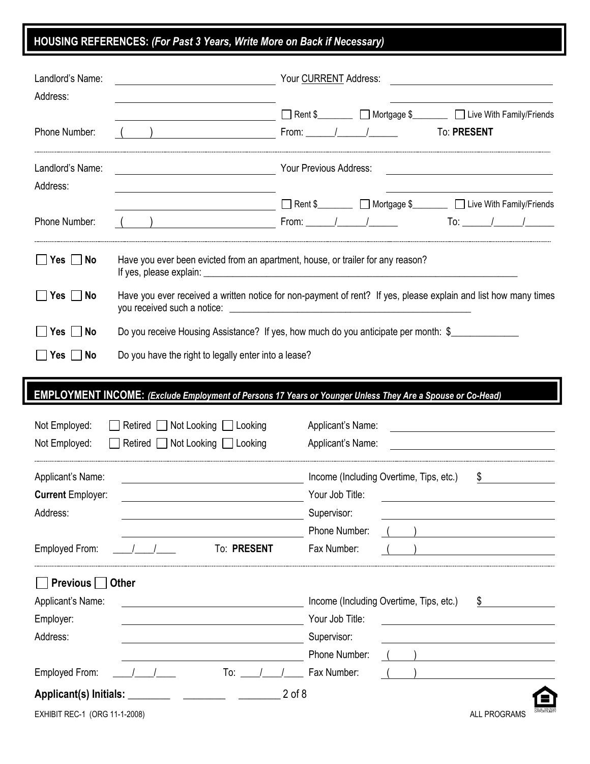## **HOUSING REFERENCES:** *(For Past 3 Years, Write More on Back if Necessary)*

| Landlord's Name:<br>Address:   | <u> 1989 - Johann Barn, mars eta bainar eta idazlea (</u>                                                             | Your CURRENT Address:                                                                                                                                           |
|--------------------------------|-----------------------------------------------------------------------------------------------------------------------|-----------------------------------------------------------------------------------------------------------------------------------------------------------------|
|                                |                                                                                                                       | Rent \$___________ Mortgage \$__________ D Live With Family/Friends                                                                                             |
| Phone Number:                  |                                                                                                                       | To: PRESENT                                                                                                                                                     |
| Landlord's Name:<br>Address:   | <u> 2000 - Jan Samuel Barbara, poeta esperanto-</u>                                                                   | Your Previous Address:                                                                                                                                          |
|                                |                                                                                                                       | Rent \$___________ Mortgage \$_________ D Live With Family/Friends                                                                                              |
| Phone Number:                  | $\left(\begin{array}{c} \begin{array}{c} \end{array}\\ \end{array}\right)$                                            |                                                                                                                                                                 |
| $Yes \Box No$                  |                                                                                                                       | Have you ever been evicted from an apartment, house, or trailer for any reason?                                                                                 |
| $Yes \Box No$                  |                                                                                                                       | Have you ever received a written notice for non-payment of rent? If yes, please explain and list how many times                                                 |
| Yes No                         |                                                                                                                       | Do you receive Housing Assistance? If yes, how much do you anticipate per month: \$                                                                             |
| $Yes \Box No$                  | Do you have the right to legally enter into a lease?                                                                  |                                                                                                                                                                 |
|                                |                                                                                                                       |                                                                                                                                                                 |
|                                |                                                                                                                       | EMPLOYMENT INCOME: (Exclude Employment of Persons 17 Years or Younger Unless They Are a Spouse or Co-Head)                                                      |
|                                |                                                                                                                       |                                                                                                                                                                 |
| Not Employed:<br>Not Employed: | Retired Not Looking Looking<br>Retired Not Looking Looking                                                            | Applicant's Name:<br><u> 1989 - Johann Harry Harry Harry Harry Harry Harry Harry Harry Harry Harry Harry Harry Harry Harry Harry Harry</u><br>Applicant's Name: |
|                                |                                                                                                                       |                                                                                                                                                                 |
| Applicant's Name:              |                                                                                                                       | Income (Including Overtime, Tips, etc.)<br>\$                                                                                                                   |
| <b>Current Employer:</b>       |                                                                                                                       | Your Job Title:                                                                                                                                                 |
| Address:                       |                                                                                                                       | Supervisor:                                                                                                                                                     |
|                                |                                                                                                                       | Phone Number:                                                                                                                                                   |
| Employed From:                 | To: PRESENT                                                                                                           | Fax Number:                                                                                                                                                     |
| <b>Previous</b> $\Box$         | <b>Other</b>                                                                                                          |                                                                                                                                                                 |
| Applicant's Name:              |                                                                                                                       | Income (Including Overtime, Tips, etc.)<br>\$                                                                                                                   |
| Employer:                      |                                                                                                                       | Your Job Title:                                                                                                                                                 |
| Address:                       | <u> 1989 - Johann Barbara, martin amerikan basal dan berasal dalam basal dalam basal dalam basal dalam basal dala</u> | Supervisor:                                                                                                                                                     |
|                                |                                                                                                                       | Phone Number:                                                                                                                                                   |
| Employed From:                 | $\text{To:}$ $\_\_\_\_\_\_\_\$                                                                                        | Fax Number:<br>$\begin{array}{ccc} \end{array}$                                                                                                                 |
|                                |                                                                                                                       | $2$ of $8$                                                                                                                                                      |
| EXHIBIT REC-1 (ORG 11-1-2008)  |                                                                                                                       | ALL PROGRAMS                                                                                                                                                    |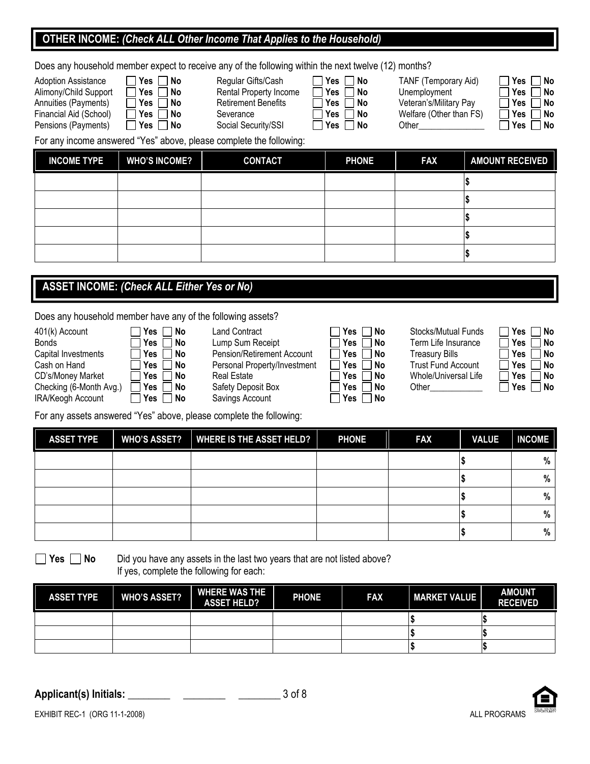#### **OTHER INCOME:** *(Check ALL Other Income That Applies to the Household)*

Does any household member expect to receive any of the following within the next twelve (12) months?

| <b>Adoption Assistance</b> | Yes No                  | Regular Gifts/Cash         | Yes No             | TANF (Temporary Aid)    |
|----------------------------|-------------------------|----------------------------|--------------------|-------------------------|
| Alimony/Child Support      | ∣Yes I<br>  No          | Rental Property Income     | ̄ Yes 「<br>  No    | Unemployment            |
| Annuities (Payments)       | <b>No</b> Pres          | <b>Retirement Benefits</b> | □ Yes i<br>  No    | Veteran's/Military Pay  |
| Financial Aid (School)     | Yes     No              | Severance                  | ∣Yes l<br>l No     | Welfare (Other than FS) |
| Pensions (Payments)        | $\sqsupset$ Yes<br>∣ No | Social Security/SSI        | $\Box$ Yes<br>l No | Other                   |

| <b>Regular Gifts</b> |
|----------------------|
| <b>Rental Prope</b>  |
| <b>Retirement B</b>  |
| Severance            |

| Gifts/Cash    |  |
|---------------|--|
| operty Income |  |
| nt Benefits   |  |
| ≏             |  |

| Yes | No |
|-----|----|
| Yes | No |
| Yes | No |
| Yes | No |
| Yes | No |

| Yes | No |
|-----|----|
| Yes | No |
| Yes | No |
| Yes | No |
| Yes | No |

For any income answered "Yes" above, please complete the following:

| <b>INCOME TYPE</b> | <b>WHO'S INCOME?</b> | <b>CONTACT</b> | <b>PHONE</b> | <b>FAX</b> | <b>AMOUNT RECEIVED</b> |
|--------------------|----------------------|----------------|--------------|------------|------------------------|
|                    |                      |                |              |            |                        |
|                    |                      |                |              |            |                        |
|                    |                      |                |              |            |                        |
|                    |                      |                |              |            |                        |
|                    |                      |                |              |            |                        |

#### **ASSET INCOME:** *(Check ALL Either Yes or No)*

Does any household member have any of the following assets?

| 401(k) Account          | $\Box$ No<br>Yes               | <b>Land Contract</b>         | $\Box$ No<br>∃Yes l                   | Stocks/Mutual Funds       | Yes <sub>1</sub><br>∩ No   |
|-------------------------|--------------------------------|------------------------------|---------------------------------------|---------------------------|----------------------------|
| Bonds                   | $\Box$ No<br>l Yes ∣           | Lump Sum Receipt             | $\sqcap$ No<br>∣Yes                   | Term Life Insurance       | □ Yes 」<br>∣No             |
| Capital Investments     | ΠYes I<br>No N                 | Pension/Retirement Account   | ̄ Yes l<br>$\Box$ No                  | <b>Treasury Bills</b>     | Yes  <br>□ No              |
| Cash on Hand            | <b>No</b><br>│ Yes I           | Personal Property/Investment | $\sqsupset$ Yes $\sqcap$<br>$\Box$ No | <b>Trust Fund Account</b> | l l Yes l<br>l No          |
| CD's/Money Market       | $\Box$ Yes $\Box$<br>$\Box$ No | Real Estate                  | $\sqcap$ No<br> Yes                   | Whole/Universal Life      | Yes<br>∣No                 |
| Checking (6-Month Avg.) | <sup>∣</sup> Yes 」<br>□ No     | Safety Deposit Box           | $\neg$ No<br>∃Yes l                   | Other                     | <sup>ı</sup> Yes ⊥<br>l No |
| IRA/Keogh Account       | No<br>'Yes                     | Savings Account              | <b>No</b> Pres ⊃ No                   |                           |                            |

| VО | Land Contract                | IITES IINO           | STOCKS/MUTUAL FUNDS       |
|----|------------------------------|----------------------|---------------------------|
| ١o | Lump Sum Receipt             | $\Box$ Yes $\Box$ No | Term Life Insurance       |
| ١o | Pension/Retirement Account   | $\Box$ Yes $\Box$ No | <b>Treasury Bills</b>     |
| ۹o | Personal Property/Investment | No Res No            | <b>Trust Fund Account</b> |
| ١o | Real Estate                  | Yes    No            | Whole/Universal Life      |

| Yes | N٥ |
|-----|----|
| Yes | Nο |
| Yes | Nο |
| Yes | Nο |
| Yes | Nο |
| Yes | Nο |
| Yes | No |
|     |    |

| Yes | No |
|-----|----|
| Yes | No |
| Yes | No |
| Yes | No |
| Yes | No |
| Yes | No |
|     |    |

For any assets answered "Yes" above, please complete the following:

| <b>ASSET TYPE</b> | <b>WHO'S ASSET?</b> | <b>WHERE IS THE ASSET HELD?</b> | <b>PHONE</b> | <b>FAX</b> | <b>VALUE</b> | <b>INCOME</b> |
|-------------------|---------------------|---------------------------------|--------------|------------|--------------|---------------|
|                   |                     |                                 |              |            |              | %             |
|                   |                     |                                 |              |            |              | %             |
|                   |                     |                                 |              |            |              | %             |
|                   |                     |                                 |              |            |              | %             |
|                   |                     |                                 |              |            |              | %             |

■ Yes ■ No Did you have any assets in the last two years that are not listed above? If yes, complete the following for each:

| <b>ASSET TYPE</b> | <b>WHO'S ASSET?</b> | <b>WHERE WAS THE</b><br><b>ASSET HELD?</b> | <b>PHONE</b> | <b>FAX</b> | <b>MARKET VALUE</b> | <b>AMOUNT</b><br><b>RECEIVED</b> |
|-------------------|---------------------|--------------------------------------------|--------------|------------|---------------------|----------------------------------|
|                   |                     |                                            |              |            |                     |                                  |
|                   |                     |                                            |              |            |                     |                                  |
|                   |                     |                                            |              |            |                     |                                  |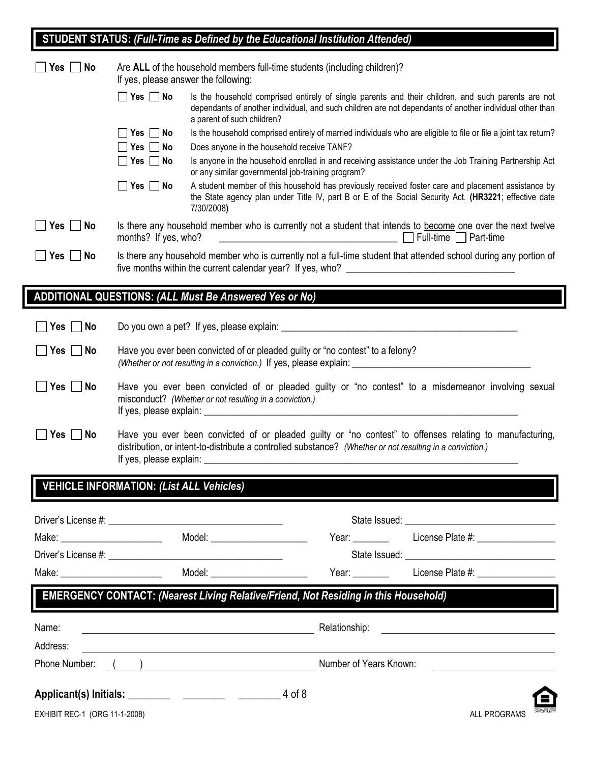# **STUDENT STATUS:** *(Full-Time as Defined by the Educational Institution Attended)*

| $Yes \mid \text{No}$              | Are ALL of the household members full-time students (including children)?<br>If yes, please answer the following:                                                                                                     |                                                        |                                                                                            |                                                                                                                                                                                                                                |
|-----------------------------------|-----------------------------------------------------------------------------------------------------------------------------------------------------------------------------------------------------------------------|--------------------------------------------------------|--------------------------------------------------------------------------------------------|--------------------------------------------------------------------------------------------------------------------------------------------------------------------------------------------------------------------------------|
|                                   | $\Box$ Yes $\Box$ No                                                                                                                                                                                                  | a parent of such children?                             |                                                                                            | Is the household comprised entirely of single parents and their children, and such parents are not<br>dependants of another individual, and such children are not dependants of another individual other than                  |
|                                   | $Yes \Box No$                                                                                                                                                                                                         |                                                        |                                                                                            | Is the household comprised entirely of married individuals who are eligible to file or file a joint tax return?                                                                                                                |
|                                   | $\Box$ Yes $\Box$ No                                                                                                                                                                                                  | Does anyone in the household receive TANF?             |                                                                                            |                                                                                                                                                                                                                                |
|                                   | Yes     No                                                                                                                                                                                                            |                                                        | or any similar governmental job-training program?                                          | Is anyone in the household enrolled in and receiving assistance under the Job Training Partnership Act                                                                                                                         |
|                                   | $Yes \Box No$                                                                                                                                                                                                         | 7/30/2008)                                             |                                                                                            | A student member of this household has previously received foster care and placement assistance by<br>the State agency plan under Title IV, part B or E of the Social Security Act. (HR3221; effective date                    |
| $Yes \Box No$                     | Is there any household member who is currently not a student that intends to become one over the next twelve<br>months? If yes, who?                                                                                  |                                                        |                                                                                            |                                                                                                                                                                                                                                |
| ∏Yes ∏No                          | Is there any household member who is currently not a full-time student that attended school during any portion of                                                                                                     |                                                        |                                                                                            |                                                                                                                                                                                                                                |
|                                   |                                                                                                                                                                                                                       | ADDITIONAL QUESTIONS: (ALL Must Be Answered Yes or No) |                                                                                            |                                                                                                                                                                                                                                |
| Yes $\Box$<br>No                  |                                                                                                                                                                                                                       |                                                        |                                                                                            |                                                                                                                                                                                                                                |
| Yes $\Box$ No                     | Have you ever been convicted of or pleaded guilty or "no contest" to a felony?<br>(Whether or not resulting in a conviction.) If yes, please explain:                                                                 |                                                        |                                                                                            |                                                                                                                                                                                                                                |
| $Yes \mid No$                     | Have you ever been convicted of or pleaded guilty or "no contest" to a misdemeanor involving sexual<br>misconduct? (Whether or not resulting in a conviction.)                                                        |                                                        |                                                                                            |                                                                                                                                                                                                                                |
| $Yes \mid No$                     | Have you ever been convicted of or pleaded guilty or "no contest" to offenses relating to manufacturing,<br>distribution, or intent-to-distribute a controlled substance? (Whether or not resulting in a conviction.) |                                                        |                                                                                            |                                                                                                                                                                                                                                |
|                                   | <b>VEHICLE INFORMATION: (List ALL Vehicles)</b>                                                                                                                                                                       |                                                        |                                                                                            |                                                                                                                                                                                                                                |
|                                   |                                                                                                                                                                                                                       |                                                        |                                                                                            |                                                                                                                                                                                                                                |
|                                   |                                                                                                                                                                                                                       | Model: ________________________                        |                                                                                            | Year: License Plate #:                                                                                                                                                                                                         |
|                                   |                                                                                                                                                                                                                       |                                                        |                                                                                            |                                                                                                                                                                                                                                |
| Make: ___________________________ |                                                                                                                                                                                                                       | Model: ______________________                          |                                                                                            | Year: License Plate #: Nearly 2014                                                                                                                                                                                             |
|                                   |                                                                                                                                                                                                                       |                                                        | <b>EMERGENCY CONTACT: (Nearest Living Relative/Friend, Not Residing in this Household)</b> |                                                                                                                                                                                                                                |
| Name:                             |                                                                                                                                                                                                                       | <u> 1989 - Johann Barn, amerikan personal (</u>        |                                                                                            | Relationship: <b>Example 2018 CONSIDERED AT A RELATION CONSIDERED</b>                                                                                                                                                          |
| Address:                          |                                                                                                                                                                                                                       |                                                        |                                                                                            |                                                                                                                                                                                                                                |
|                                   |                                                                                                                                                                                                                       |                                                        |                                                                                            | Phone Number: () 2008 Contract Communication Chemical Chemical Chemical Chemical Chemical Chemical Chemical Chemical Chemical Chemical Chemical Chemical Chemical Chemical Chemical Chemical Chemical Chemical Chemical Chemic |
|                                   |                                                                                                                                                                                                                       |                                                        |                                                                                            |                                                                                                                                                                                                                                |
| EXHIBIT REC-1 (ORG 11-1-2008)     |                                                                                                                                                                                                                       |                                                        |                                                                                            | ALL PROGRAMS                                                                                                                                                                                                                   |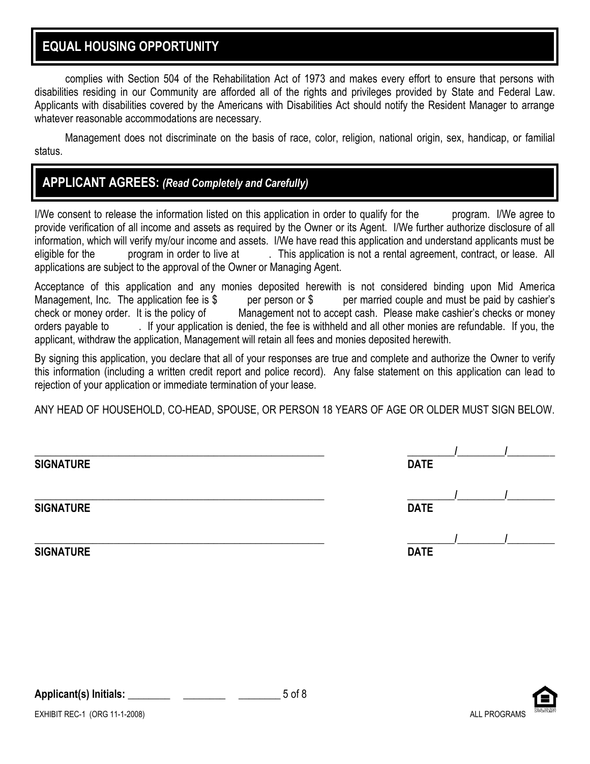### **EQUAL HOUSING OPPORTUNITY**

complies with Section 504 of the Rehabilitation Act of 1973 and makes every effort to ensure that persons with disabilities residing in our Community are afforded all of the rights and privileges provided by State and Federal Law. Applicants with disabilities covered by the Americans with Disabilities Act should notify the Resident Manager to arrange whatever reasonable accommodations are necessary.

Management does not discriminate on the basis of race, color, religion, national origin, sex, handicap, or familial status.

### **APPLICANT AGREES:** *(Read Completely and Carefully)*

I/We consent to release the information listed on this application in order to qualify for the program. I/We agree to provide verification of all income and assets as required by the Owner or its Agent. I/We further authorize disclosure of all information, which will verify my/our income and assets. I/We have read this application and understand applicants must be eligible for the program in order to live at . This application is not a rental agreement, contract, or lease. All applications are subject to the approval of the Owner or Managing Agent.

Acceptance of this application and any monies deposited herewith is not considered binding upon Mid America Management, Inc. The application fee is  $\frac{1}{2}$  per person or  $\frac{1}{2}$  per married couple and must be paid by cashier's check or money order. It is the policy of Management not to accept cash. Please make cashier's checks or money orders payable to . If your application is denied, the fee is withheld and all other monies are refundable. If you, the applicant, withdraw the application, Management will retain all fees and monies deposited herewith.

By signing this application, you declare that all of your responses are true and complete and authorize the Owner to verify this information (including a written credit report and police record). Any false statement on this application can lead to rejection of your application or immediate termination of your lease.

ANY HEAD OF HOUSEHOLD, CO-HEAD, SPOUSE, OR PERSON 18 YEARS OF AGE OR OLDER MUST SIGN BELOW.

| <b>SIGNATURE</b> | <b>DATE</b> |
|------------------|-------------|
| <b>SIGNATURE</b> | <b>DATE</b> |
| <b>SIGNATURE</b> | <b>DATE</b> |

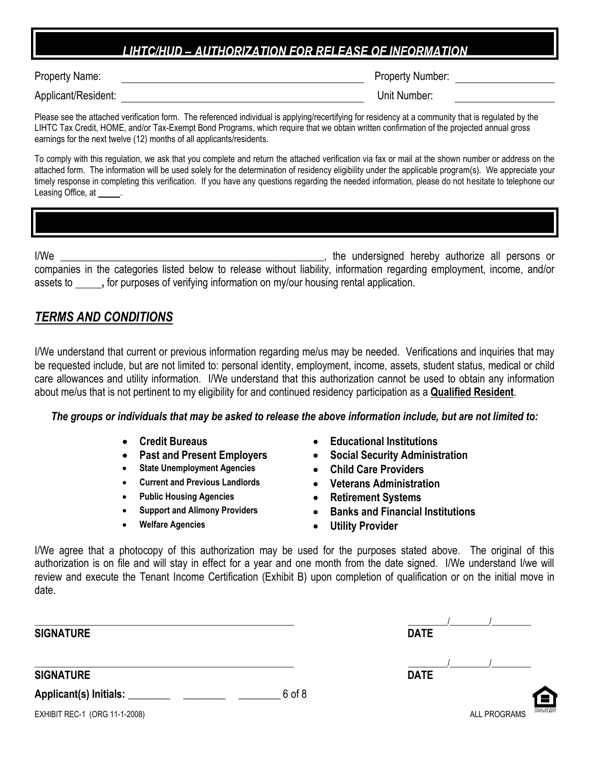### *LIHTC/HUD – AUTHORIZATION FOR RELEASE OF INFORMATION*

I

Property Number:

Applicant/Resident: Unit Number:

Please see the attached verification form. The referenced individual is applying/recertifying for residency at a community that is regulated by the LIHTC Tax Credit, HOME, and/or Tax-Exempt Bond Programs, which require that we obtain written confirmation of the projected annual gross earnings for the next twelve (12) months of all applicants/residents.

To comply with this regulation, we ask that you complete and return the attached verification via fax or mail at the shown number or address on the attached form. The information will be used solely for the determination of residency eligibility under the applicable program(s). We appreciate your timely response in completing this verification. If you have any questions regarding the needed information, please do not hesitate to telephone our Leasing Office, at

I/We **I/We** *I/We I/We I/We I/We I/We III/We IIII/We IIII/We IIII/We* companies in the categories listed below to release without liability, information regarding employment, income, and/or assets to **,** for purposes of verifying information on my/our housing rental application.

### *TERMS AND CONDITIONS*

I/We understand that current or previous information regarding me/us may be needed. Verifications and inquiries that may be requested include, but are not limited to: personal identity, employment, income, assets, student status, medical or child care allowances and utility information. I/We understand that this authorization cannot be used to obtain any information about me/us that is not pertinent to my eligibility for and continued residency participation as a **Qualified Resident**.

#### *The groups or individuals that may be asked to release the above information include, but are not limited to:*

- 
- 
- **State Unemployment Agencies Child Care Providers**
- 
- 
- 
- 
- **Credit Bureaus Educational Institutions**
	- **Past and Present Employers Social Security Administration**
		-
	- **Current and Previous Landlords Veterans Administration**
	- **Public Housing Agencies Retirement Systems**
	- **Support and Alimony Providers Banks and Financial Institutions**
	- **Welfare Agencies Utility Provider**

I/We agree that a photocopy of this authorization may be used for the purposes stated above. The original of this authorization is on file and will stay in effect for a year and one month from the date signed. I/We understand I/we will review and execute the Tenant Income Certification (Exhibit B) upon completion of qualification or on the initial move in date.

**SIGNATURE DATE**

**SIGNATURE DATE**

**Applicant(s) Initials: \_\_\_\_\_\_\_\_ \_\_\_\_\_\_\_\_ \_\_\_\_\_\_\_\_** 6 of 8

\_\_\_\_\_\_\_\_\_\_\_\_\_\_\_\_\_\_\_\_\_\_\_\_\_\_\_\_\_\_\_\_\_\_\_\_\_\_\_\_\_\_\_\_\_\_\_\_\_\_\_\_\_\_\_\_\_\_\_ \_\_\_\_\_\_\_\_\_/\_\_\_\_\_\_\_\_\_/\_\_\_\_\_\_\_\_\_ \_\_\_\_\_\_\_\_\_\_\_\_\_\_\_\_\_\_\_\_\_\_\_\_\_\_\_\_\_\_\_\_\_\_\_\_\_\_\_\_\_\_\_\_\_\_\_\_\_\_\_\_\_\_\_\_\_\_\_ \_\_\_\_\_\_\_\_\_/\_\_\_\_\_\_\_\_\_/\_\_\_\_\_\_\_\_\_